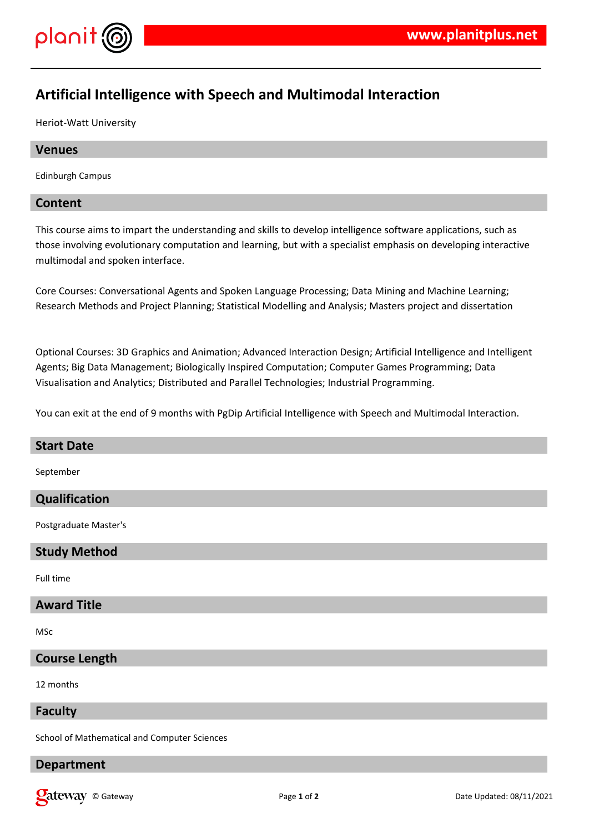

# **Artificial Intelligence with Speech and Multimodal Interaction**

Heriot-Watt University

# **Venues**

Edinburgh Campus

# **Content**

This course aims to impart the understanding and skills to develop intelligence software applications, such as those involving evolutionary computation and learning, but with a specialist emphasis on developing interactive multimodal and spoken interface.

Core Courses: Conversational Agents and Spoken Language Processing; Data Mining and Machine Learning; Research Methods and Project Planning; Statistical Modelling and Analysis; Masters project and dissertation

Optional Courses: 3D Graphics and Animation; Advanced Interaction Design; Artificial Intelligence and Intelligent Agents; Big Data Management; Biologically Inspired Computation; Computer Games Programming; Data Visualisation and Analytics; Distributed and Parallel Technologies; Industrial Programming.

You can exit at the end of 9 months with PgDip Artificial Intelligence with Speech and Multimodal Interaction.

# **Start Date** September **Qualification** Postgraduate Master's **Study Method** Full time **Award Title** MSc **Course Length**

12 months

#### **Faculty**

School of Mathematical and Computer Sciences

#### **Department**

**Qateway** © Gateway **Page 1** of 2 Date Updated: 08/11/2021